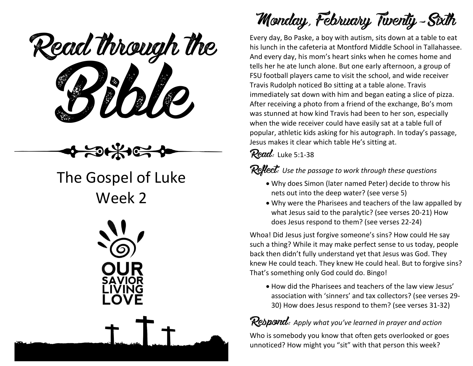

## The Gospel of Luke Week 2



**Monday, February Twenty-Sixth**

Every day, Bo Paske, a boy with autism, sits down at a table to eat his lunch in the cafeteria at Montford Middle School in Tallahassee. And every day, his mom's heart sinks when he comes home and tells her he ate lunch alone. But one early afternoon, a group of FSU football players came to visit the school, and wide receiver Travis Rudolph noticed Bo sitting at a table alone. Travis immediately sat down with him and began eating a slice of pizza. After receiving a photo from a friend of the exchange, Bo's mom was stunned at how kind Travis had been to her son, especially when the wide receiver could have easily sat at a table full of popular, athletic kids asking for his autograph. In today's passage, Jesus makes it clear which table He's sitting at.

**Read:** Luke 5:1-38

**Reflect:** *Use the passage to work through these questions*

- Why does Simon (later named Peter) decide to throw his nets out into the deep water? (see verse 5)
- Why were the Pharisees and teachers of the law appalled by what Jesus said to the paralytic? (see verses 20-21) How does Jesus respond to them? (see verses 22-24)

Whoa! Did Jesus just forgive someone's sins? How could He say such a thing? While it may make perfect sense to us today, people back then didn't fully understand yet that Jesus was God. They knew He could teach. They knew He could heal. But to forgive sins? That's something only God could do. Bingo!

 How did the Pharisees and teachers of the law view Jesus' association with 'sinners' and tax collectors? (see verses 29- 30) How does Jesus respond to them? (see verses 31-32)

#### **Respond:** *Apply what you've learned in prayer and action*

Who is somebody you know that often gets overlooked or goes unnoticed? How might you "sit" with that person this week?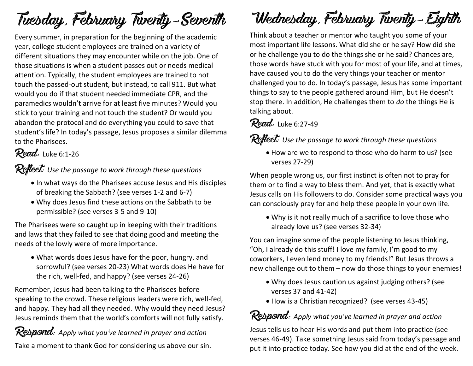# **Tuesday, February Twenty-Seventh**

Every summer, in preparation for the beginning of the academic year, college student employees are trained on a variety of different situations they may encounter while on the job. One of those situations is when a student passes out or needs medical attention. Typically, the student employees are trained to not touch the passed-out student, but instead, to call 911. But what would you do if that student needed immediate CPR, and the paramedics wouldn't arrive for at least five minutes? Would you stick to your training and not touch the student? Or would you abandon the protocol and do everything you could to save that student's life? In today's passage, Jesus proposes a similar dilemma to the Pharisees.

#### **Read:** Luke 6:1-26

**Reflect:** *Use the passage to work through these questions*

- In what ways do the Pharisees accuse Jesus and His disciples of breaking the Sabbath? (see verses 1-2 and 6-7)
- Why does Jesus find these actions on the Sabbath to be permissible? (see verses 3-5 and 9-10)

The Pharisees were so caught up in keeping with their traditions and laws that they failed to see that doing good and meeting the needs of the lowly were of more importance.

 What words does Jesus have for the poor, hungry, and sorrowful? (see verses 20-23) What words does He have for the rich, well-fed, and happy? (see verses 24-26)

Remember, Jesus had been talking to the Pharisees before speaking to the crowd. These religious leaders were rich, well-fed, and happy. They had all they needed. Why would they need Jesus? Jesus reminds them that the world's comforts will not fully satisfy.

**Respond:** *Apply what you've learned in prayer and action* Take a moment to thank God for considering us above our sin.

# **Wednesday, February Twenty-Eighth**

Think about a teacher or mentor who taught you some of your most important life lessons. What did she or he say? How did she or he challenge you to do the things she or he said? Chances are, those words have stuck with you for most of your life, and at times, have caused you to do the very things your teacher or mentor challenged you to do. In today's passage, Jesus has some important things to say to the people gathered around Him, but He doesn't stop there. In addition, He challenges them to *do* the things He is talking about.

#### **Read:** Luke 6:27-49

**Reflect:** *Use the passage to work through these questions*

 How are we to respond to those who do harm to us? (see verses 27-29)

When people wrong us, our first instinct is often not to pray for them or to find a way to bless them. And yet, that is exactly what Jesus calls on His followers to do. Consider some practical ways you can consciously pray for and help these people in your own life.

 Why is it not really much of a sacrifice to love those who already love us? (see verses 32-34)

You can imagine some of the people listening to Jesus thinking, "Oh, I already do this stuff! I love my family, I'm good to my coworkers, I even lend money to my friends!" But Jesus throws a new challenge out to them – now do those things to your enemies!

- Why does Jesus caution us against judging others? (see verses 37 and 41-42)
- How is a Christian recognized? (see verses 43-45)

#### **Respond:** *Apply what you've learned in prayer and action*

Jesus tells us to hear His words and put them into practice (see verses 46-49). Take something Jesus said from today's passage and put it into practice today. See how you did at the end of the week.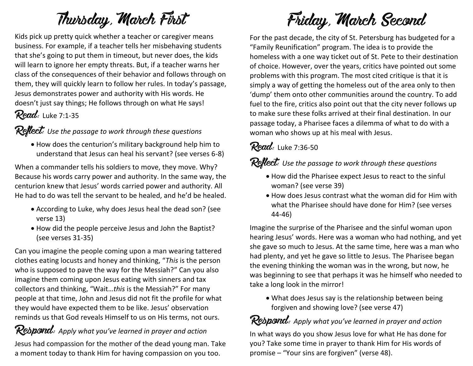# **Thursday, March First**

Kids pick up pretty quick whether a teacher or caregiver means business. For example, if a teacher tells her misbehaving students that she's going to put them in timeout, but never does, the kids will learn to ignore her empty threats. But, if a teacher warns her class of the consequences of their behavior and follows through on them, they will quickly learn to follow her rules. In today's passage, Jesus demonstrates power and authority with His words. He doesn't just say things; He follows through on what He says!

## **Read:** Luke 7:1-35

#### **Reflect:** *Use the passage to work through these questions*

 How does the centurion's military background help him to understand that Jesus can heal his servant? (see verses 6-8)

When a commander tells his soldiers to move, they move. Why? Because his words carry power and authority. In the same way, the centurion knew that Jesus' words carried power and authority. All He had to do was tell the servant to be healed, and he'd be healed.

- According to Luke, why does Jesus heal the dead son? (see verse 13)
- How did the people perceive Jesus and John the Baptist? (see verses 31-35)

Can you imagine the people coming upon a man wearing tattered clothes eating locusts and honey and thinking, "*This* is the person who is supposed to pave the way for the Messiah?" Can you also imagine them coming upon Jesus eating with sinners and tax collectors and thinking, "Wait…*this* is the Messiah?" For many people at that time, John and Jesus did not fit the profile for what they would have expected them to be like. Jesus' observation reminds us that God reveals Himself to us on His terms, not ours.

#### **Respond:** *Apply what you've learned in prayer and action*

Jesus had compassion for the mother of the dead young man. Take a moment today to thank Him for having compassion on you too.

# **Friday, March Second**

For the past decade, the city of St. Petersburg has budgeted for a "Family Reunification" program. The idea is to provide the homeless with a one way ticket out of St. Pete to their destination of choice. However, over the years, critics have pointed out some problems with this program. The most cited critique is that it is simply a way of getting the homeless out of the area only to then 'dump' them onto other communities around the country. To add fuel to the fire, critics also point out that the city never follows up to make sure these folks arrived at their final destination. In our passage today, a Pharisee faces a dilemma of what to do with a woman who shows up at his meal with Jesus.

#### **Read:** Luke 7:36-50

**Reflect:** *Use the passage to work through these questions*

- How did the Pharisee expect Jesus to react to the sinful woman? (see verse 39)
- How does Jesus contrast what the woman did for Him with what the Pharisee should have done for Him? (see verses 44-46)

Imagine the surprise of the Pharisee and the sinful woman upon hearing Jesus' words. Here was a woman who had nothing, and yet she gave so much to Jesus. At the same time, here was a man who had plenty, and yet he gave so little to Jesus. The Pharisee began the evening thinking the woman was in the wrong, but now, he was beginning to see that perhaps it was he himself who needed to take a long look in the mirror!

 What does Jesus say is the relationship between being forgiven and showing love? (see verse 47)

## **Respond:** *Apply what you've learned in prayer and action*

In what ways do you show Jesus love for what He has done for you? Take some time in prayer to thank Him for His words of promise – "Your sins are forgiven" (verse 48).